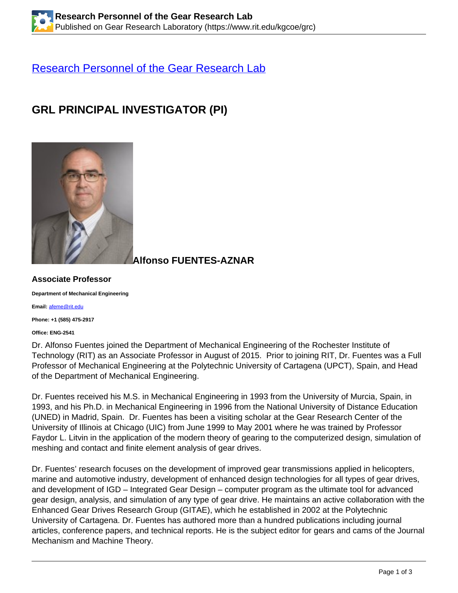### [Research Personnel of the Gear Research Lab](https://www.rit.edu/kgcoe/grc/current-members)

# **GRL PRINCIPAL INVESTIGATOR (PI)**



**Alfonso FUENTES-AZNAR**

#### **Associate Professor**

**Department of Mechanical Engineering**

**Email:** [afeme@rit.edu](mailto:afeme@rit.edu)

**Phone: +1 (585) 475-2917**

**Office: ENG-2541**

Dr. Alfonso Fuentes joined the Department of Mechanical Engineering of the Rochester Institute of Technology (RIT) as an Associate Professor in August of 2015. Prior to joining RIT, Dr. Fuentes was a Full Professor of Mechanical Engineering at the Polytechnic University of Cartagena (UPCT), Spain, and Head of the Department of Mechanical Engineering.

Dr. Fuentes received his M.S. in Mechanical Engineering in 1993 from the University of Murcia, Spain, in 1993, and his Ph.D. in Mechanical Engineering in 1996 from the National University of Distance Education (UNED) in Madrid, Spain. Dr. Fuentes has been a visiting scholar at the Gear Research Center of the University of Illinois at Chicago (UIC) from June 1999 to May 2001 where he was trained by Professor Faydor L. Litvin in the application of the modern theory of gearing to the computerized design, simulation of meshing and contact and finite element analysis of gear drives.

Dr. Fuentes' research focuses on the development of improved gear transmissions applied in helicopters, marine and automotive industry, development of enhanced design technologies for all types of gear drives, and development of IGD – Integrated Gear Design – computer program as the ultimate tool for advanced gear design, analysis, and simulation of any type of gear drive. He maintains an active collaboration with the Enhanced Gear Drives Research Group (GITAE), which he established in 2002 at the Polytechnic University of Cartagena. Dr. Fuentes has authored more than a hundred publications including journal articles, conference papers, and technical reports. He is the subject editor for gears and cams of the Journal Mechanism and Machine Theory.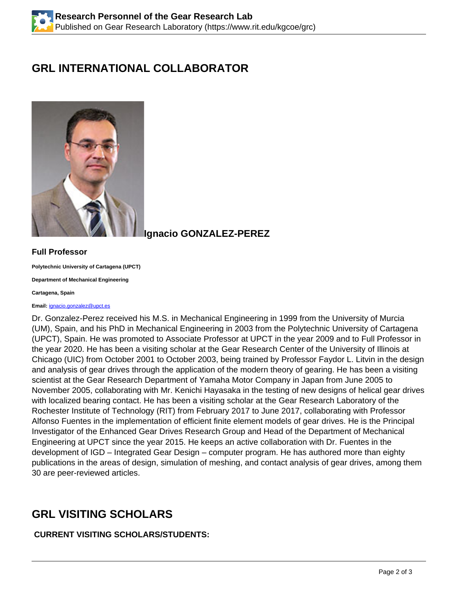# **GRL INTERNATIONAL COLLABORATOR**



**Ignacio GONZALEZ-PEREZ**

### **Full Professor**

**Polytechnic University of Cartagena (UPCT)**

**Department of Mechanical Engineering**

**Cartagena, Spain**

#### **Email:** [ignacio.gonzalez@upct.es](mailto:ignacio.gonzalez@upct.es)

Dr. Gonzalez-Perez received his M.S. in Mechanical Engineering in 1999 from the University of Murcia (UM), Spain, and his PhD in Mechanical Engineering in 2003 from the Polytechnic University of Cartagena (UPCT), Spain. He was promoted to Associate Professor at UPCT in the year 2009 and to Full Professor in the year 2020. He has been a visiting scholar at the Gear Research Center of the University of Illinois at Chicago (UIC) from October 2001 to October 2003, being trained by Professor Faydor L. Litvin in the design and analysis of gear drives through the application of the modern theory of gearing. He has been a visiting scientist at the Gear Research Department of Yamaha Motor Company in Japan from June 2005 to November 2005, collaborating with Mr. Kenichi Hayasaka in the testing of new designs of helical gear drives with localized bearing contact. He has been a visiting scholar at the Gear Research Laboratory of the Rochester Institute of Technology (RIT) from February 2017 to June 2017, collaborating with Professor Alfonso Fuentes in the implementation of efficient finite element models of gear drives. He is the Principal Investigator of the Enhanced Gear Drives Research Group and Head of the Department of Mechanical Engineering at UPCT since the year 2015. He keeps an active collaboration with Dr. Fuentes in the development of IGD – Integrated Gear Design – computer program. He has authored more than eighty publications in the areas of design, simulation of meshing, and contact analysis of gear drives, among them 30 are peer-reviewed articles.

## **GRL VISITING SCHOLARS**

### **CURRENT VISITING SCHOLARS/STUDENTS:**